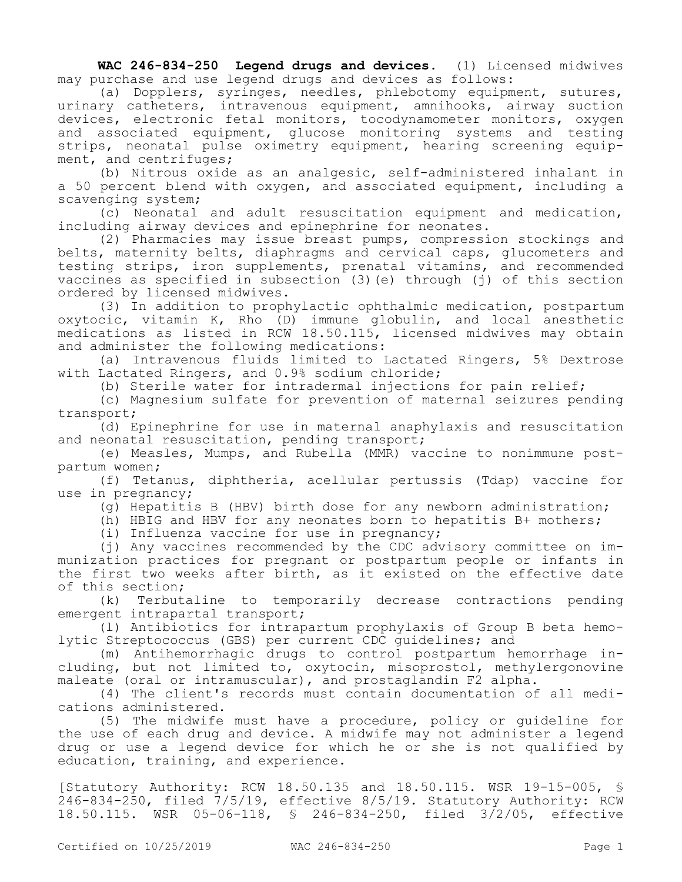**WAC 246-834-250 Legend drugs and devices.** (1) Licensed midwives may purchase and use legend drugs and devices as follows:

(a) Dopplers, syringes, needles, phlebotomy equipment, sutures, urinary catheters, intravenous equipment, amnihooks, airway suction devices, electronic fetal monitors, tocodynamometer monitors, oxygen and associated equipment, glucose monitoring systems and testing strips, neonatal pulse oximetry equipment, hearing screening equipment, and centrifuges;

(b) Nitrous oxide as an analgesic, self-administered inhalant in a 50 percent blend with oxygen, and associated equipment, including a scavenging system;

(c) Neonatal and adult resuscitation equipment and medication, including airway devices and epinephrine for neonates.

(2) Pharmacies may issue breast pumps, compression stockings and belts, maternity belts, diaphragms and cervical caps, glucometers and testing strips, iron supplements, prenatal vitamins, and recommended vaccines as specified in subsection (3)(e) through (j) of this section ordered by licensed midwives.

(3) In addition to prophylactic ophthalmic medication, postpartum oxytocic, vitamin K, Rho (D) immune globulin, and local anesthetic medications as listed in RCW 18.50.115, licensed midwives may obtain and administer the following medications:

(a) Intravenous fluids limited to Lactated Ringers, 5% Dextrose with Lactated Ringers, and 0.9% sodium chloride;

(b) Sterile water for intradermal injections for pain relief;

(c) Magnesium sulfate for prevention of maternal seizures pending transport;

(d) Epinephrine for use in maternal anaphylaxis and resuscitation and neonatal resuscitation, pending transport;

(e) Measles, Mumps, and Rubella (MMR) vaccine to nonimmune postpartum women;

(f) Tetanus, diphtheria, acellular pertussis (Tdap) vaccine for use in pregnancy;

(g) Hepatitis B (HBV) birth dose for any newborn administration;

(h) HBIG and HBV for any neonates born to hepatitis B+ mothers;

(i) Influenza vaccine for use in pregnancy;

(j) Any vaccines recommended by the CDC advisory committee on immunization practices for pregnant or postpartum people or infants in the first two weeks after birth, as it existed on the effective date of this section;

(k) Terbutaline to temporarily decrease contractions pending emergent intrapartal transport;

(l) Antibiotics for intrapartum prophylaxis of Group B beta hemolytic Streptococcus (GBS) per current CDC guidelines; and

(m) Antihemorrhagic drugs to control postpartum hemorrhage including, but not limited to, oxytocin, misoprostol, methylergonovine maleate (oral or intramuscular), and prostaglandin F2 alpha.

(4) The client's records must contain documentation of all medications administered.

(5) The midwife must have a procedure, policy or guideline for the use of each drug and device. A midwife may not administer a legend drug or use a legend device for which he or she is not qualified by education, training, and experience.

[Statutory Authority: RCW 18.50.135 and 18.50.115. WSR 19-15-005, § 246-834-250, filed 7/5/19, effective 8/5/19. Statutory Authority: RCW 18.50.115. WSR 05-06-118, § 246-834-250, filed 3/2/05, effective